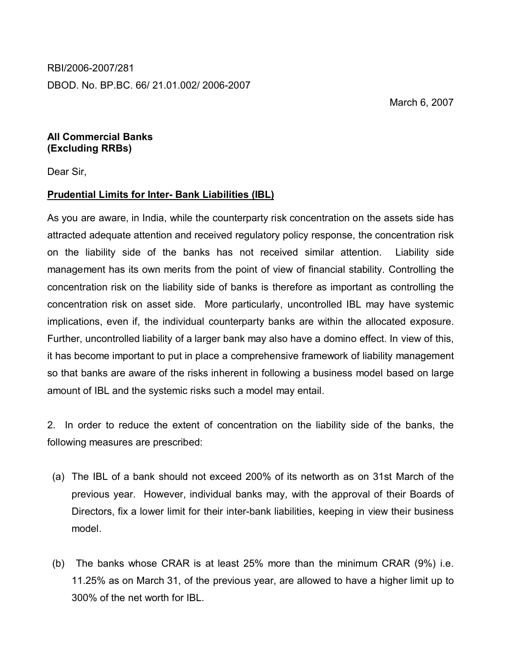RBI/2006-2007/281

DBOD. No. BP.BC. 66/ 21.01.002/ 2006-2007

March 6, 2007

## **All Commercial Banks (Excluding RRBs)**

Dear Sir,

## **Prudential Limits for Inter- Bank Liabilities (IBL)**

As you are aware, in India, while the counterparty risk concentration on the assets side has attracted adequate attention and received regulatory policy response, the concentration risk on the liability side of the banks has not received similar attention. Liability side management has its own merits from the point of view of financial stability. Controlling the concentration risk on the liability side of banks is therefore as important as controlling the concentration risk on asset side. More particularly, uncontrolled IBL may have systemic implications, even if, the individual counterparty banks are within the allocated exposure. Further, uncontrolled liability of a larger bank may also have a domino effect. In view of this, it has become important to put in place a comprehensive framework of liability management so that banks are aware of the risks inherent in following a business model based on large amount of IBL and the systemic risks such a model may entail.

2. In order to reduce the extent of concentration on the liability side of the banks, the following measures are prescribed:

- (a) The IBL of a bank should not exceed 200% of its networth as on 31st March of the previous year. However, individual banks may, with the approval of their Boards of Directors, fix a lower limit for their inter-bank liabilities, keeping in view their business model.
- (b) The banks whose CRAR is at least 25% more than the minimum CRAR (9%) i.e. 11.25% as on March 31, of the previous year, are allowed to have a higher limit up to 300% of the net worth for IBL.